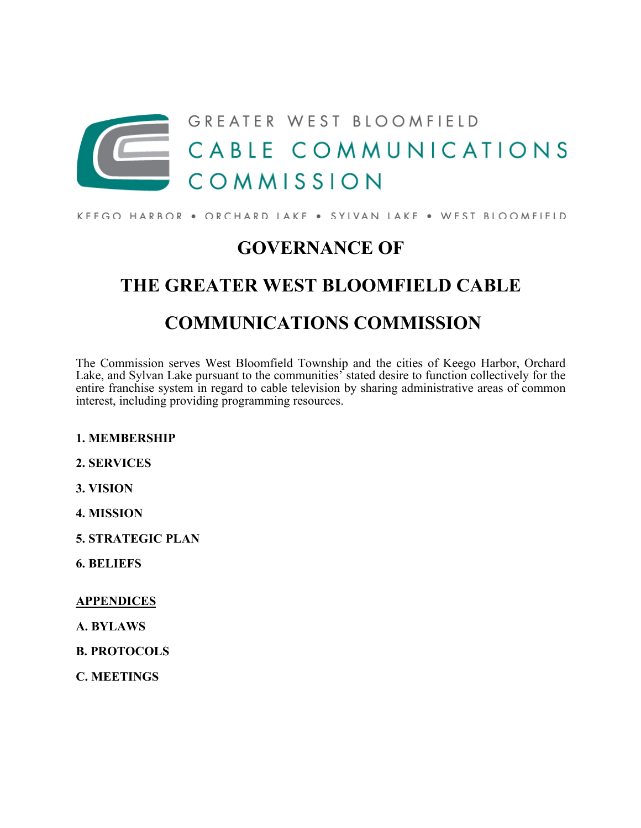

#### KFFGO HARBOR . ORCHARD IAKF . SYLVAN LAKE . WEST BLOOMFIELD

## **GOVERNANCE OF**

# **THE GREATER WEST BLOOMFIELD CABLE COMMUNICATIONS COMMISSION**

The Commission serves West Bloomfield Township and the cities of Keego Harbor, Orchard Lake, and Sylvan Lake pursuant to the communities' stated desire to function collectively for the entire franchise system in regard to cable television by sharing administrative areas of common interest, including providing programming resources.

#### **1. MEMBERSHIP**

- **2. SERVICES**
- **3. VISION**
- **4. MISSION**
- **5. STRATEGIC PLAN**
- **6. BELIEFS**

**APPENDICES**

- **A. BYLAWS**
- **B. PROTOCOLS**
- **C. MEETINGS**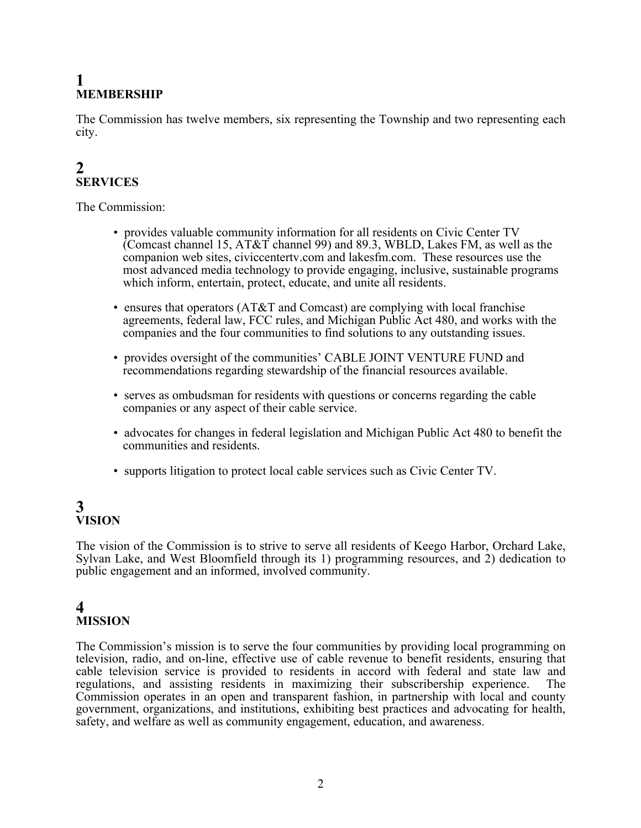## **1 MEMBERSHIP**

The Commission has twelve members, six representing the Township and two representing each city.

## **2 SERVICES**

The Commission:

- provides valuable community information for all residents on Civic Center TV Comcast channel 15,  $AT&T$  channel 99) and 89.3, WBLD, Lakes FM, as well as the companion web sites, civiccentertv.com and lakesfm.com. These resources use the most advanced media technology to provide engaging, inclusive, sustainable programs which inform, entertain, protect, educate, and unite all residents.
- ensures that operators (AT&T and Comcast) are complying with local franchise agreements, federal law, FCC rules, and Michigan Public Act 480, and works with the companies and the four communities to find solutions to any outstanding issues.
- provides oversight of the communities' CABLE JOINT VENTURE FUND and recommendations regarding stewardship of the financial resources available.
- serves as ombudsman for residents with questions or concerns regarding the cable companies or any aspect of their cable service.
- advocates for changes in federal legislation and Michigan Public Act 480 to benefit the communities and residents.
- supports litigation to protect local cable services such as Civic Center TV.

## **3 VISION**

The vision of the Commission is to strive to serve all residents of Keego Harbor, Orchard Lake, Sylvan Lake, and West Bloomfield through its 1) programming resources, and 2) dedication to public engagement and an informed, involved community.

### **4 MISSION**

The Commission's mission is to serve the four communities by providing local programming on television, radio, and on-line, effective use of cable revenue to benefit residents, ensuring that cable television service is provided to residents in accord with federal and state law and regulations, and assisting residents in maximizing their subscribership experience. Commission operates in an open and transparent fashion, in partnership with local and county government, organizations, and institutions, exhibiting best practices and advocating for health, safety, and welfare as well as community engagement, education, and awareness.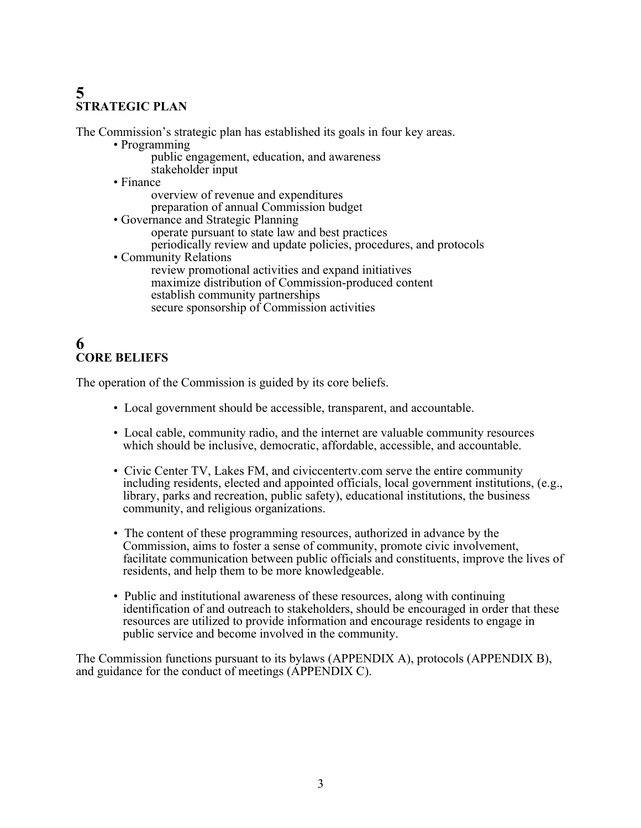## **5 STRATEGIC PLAN**

The Commission's strategic plan has established its goals in four key areas.

- Programming public engagement, education, and awareness stakeholder input
- Finance
	- overview of revenue and expenditures
	- preparation of annual Commission budget
- Governance and Strategic Planning operate pursuant to state law and best practices periodically review and update policies, procedures, and protocols
- Community Relations review promotional activities and expand initiatives maximize distribution of Commission-produced content establish community partnerships secure sponsorship of Commission activities

### **6 CORE BELIEFS**

The operation of the Commission is guided by its core beliefs.

- Local government should be accessible, transparent, and accountable.
- Local cable, community radio, and the internet are valuable community resources which should be inclusive, democratic, affordable, accessible, and accountable.
- Civic Center TV, Lakes FM, and civiccentertv.com serve the entire community including residents, elected and appointed officials, local government institutions, (e.g., library, parks and recreation, public safety), educational institutions, the business community, and religious organizations.
- The content of these programming resources, authorized in advance by the Commission, aims to foster a sense of community, promote civic involvement, facilitate communication between public officials and constituents, improve the lives of residents, and help them to be more knowledgeable.
- Public and institutional awareness of these resources, along with continuing identification of and outreach to stakeholders, should be encouraged in order that these resources are utilized to provide information and encourage residents to engage in public service and become involved in the community.

The Commission functions pursuant to its bylaws (APPENDIX A), protocols (APPENDIX B), and guidance for the conduct of meetings (APPENDIX C).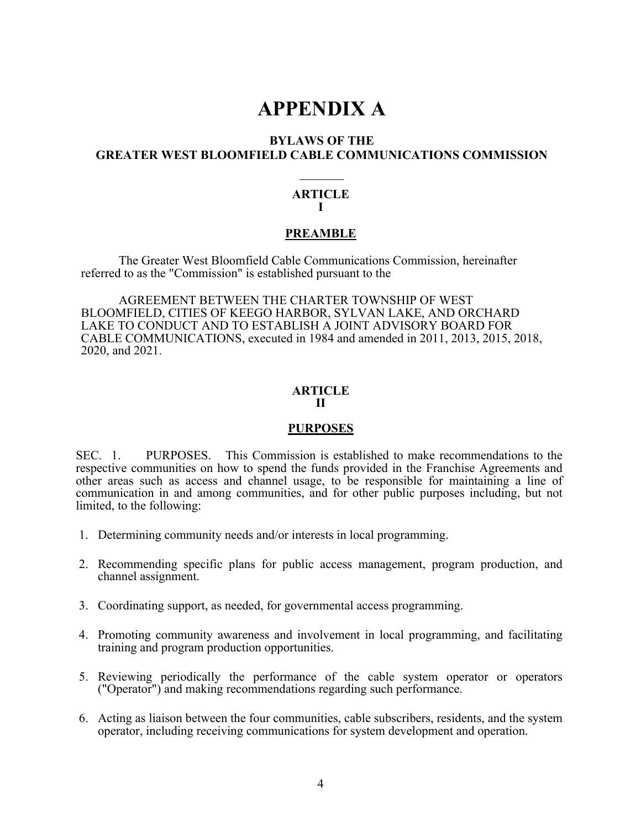## **APPENDIX A**

#### **BYLAWS OF THE GREATER WEST BLOOMFIELD CABLE COMMUNICATIONS COMMISSION**

#### **ARTICLE I**

#### **PREAMBLE**

The Greater West Bloomfield Cable Communications Commission, hereinafter referred to as the "Commission" is established pursuant to the

AGREEMENT BETWEEN THE CHARTER TOWNSHIP OF WEST BLOOMFIELD, CITIES OF KEEGO HARBOR, SYLVAN LAKE, AND ORCHARD LAKE TO CONDUCT AND TO ESTABLISH A JOINT ADVISORY BOARD FOR CABLE COMMUNICATIONS, executed in 1984 and amended in 2011, 2013, 2015, 2018, 2020, and 2021.

#### **ARTICLE II**

#### **PURPOSES**

SEC. 1. PURPOSES. This Commission is established to make recommendations to the respective communities on how to spend the funds provided in the Franchise Agreements and other areas such as access and channel usage, to be responsible for maintaining a line of communication in and among communities, and for other public purposes including, but not limited, to the following:

- 1. Determining community needs and/or interests in local programming.
- 2. Recommending specific plans for public access management, program production, and channel assignment.
- 3. Coordinating support, as needed, for governmental access programming.
- 4. Promoting community awareness and involvement in local programming, and facilitating training and program production opportunities.
- 5. Reviewing periodically the performance of the cable system operator or operators ("Operator") and making recommendations regarding such performance.
- 6. Acting as liaison between the four communities, cable subscribers, residents, and the system operator, including receiving communications for system development and operation.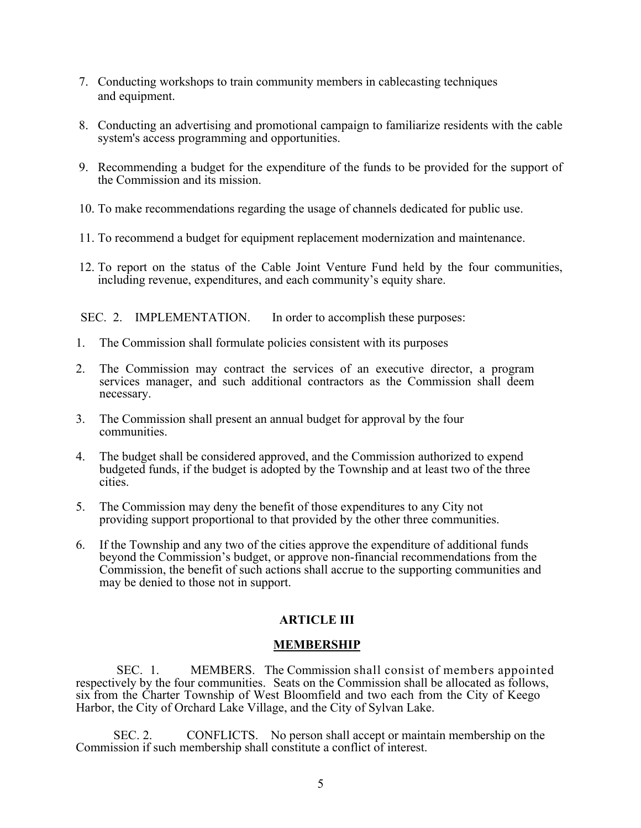- 7. Conducting workshops to train community members in cablecasting techniques and equipment.
- 8. Conducting an advertising and promotional campaign to familiarize residents with the cable system's access programming and opportunities.
- 9. Recommending a budget for the expenditure of the funds to be provided for the support of the Commission and its mission.
- 10. To make recommendations regarding the usage of channels dedicated for public use.
- 11. To recommend a budget for equipment replacement modernization and maintenance.
- 12. To report on the status of the Cable Joint Venture Fund held by the four communities, including revenue, expenditures, and each community's equity share.

SEC. 2. IMPLEMENTATION. In order to accomplish these purposes:

- 1. The Commission shall formulate policies consistent with its purposes
- 2. The Commission may contract the services of an executive director, a program services manager, and such additional contractors as the Commission shall deem necessary.
- 3. The Commission shall present an annual budget for approval by the four communities.
- 4. The budget shall be considered approved, and the Commission authorized to expend budgeted funds, if the budget is adopted by the Township and at least two of the three cities.
- 5. The Commission may deny the benefit of those expenditures to any City not providing support proportional to that provided by the other three communities.
- 6. If the Township and any two of the cities approve the expenditure of additional funds beyond the Commission's budget, or approve non-financial recommendations from the Commission, the benefit of such actions shall accrue to the supporting communities and may be denied to those not in support.

#### **ARTICLE III**

#### **MEMBERSHIP**

 SEC. 1. MEMBERS. The Commission shall consist of members appointed respectively by the four communities. Seats on the Commission shall be allocated as follows, six from the Charter Township of West Bloomfield and two each from the City of Keego Harbor, the City of Orchard Lake Village, and the City of Sylvan Lake.

SEC. 2. CONFLICTS. No person shall accept or maintain membership on the Commission if such membership shall constitute a conflict of interest.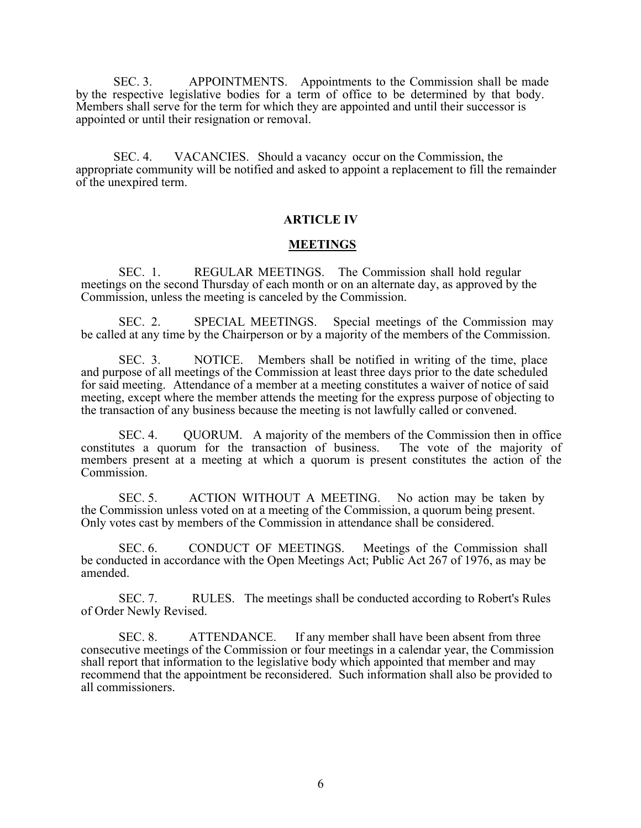SEC. 3. APPOINTMENTS. Appointments to the Commission shall be made by the respective legislative bodies for a term of office to be determined by that body. Members shall serve for the term for which they are appointed and until their successor is appointed or until their resignation or removal.

SEC. 4. VACANCIES. Should a vacancy occur on the Commission, the appropriate community will be notified and asked to appoint a replacement to fill the remainder of the unexpired term.

#### **ARTICLE IV**

#### **MEETINGS**

SEC. 1. REGULAR MEETINGS. The Commission shall hold regular meetings on the second Thursday of each month or on an alternate day, as approved by the Commission, unless the meeting is canceled by the Commission.

SEC. 2. SPECIAL MEETINGS. Special meetings of the Commission may be called at any time by the Chairperson or by a majority of the members of the Commission.

SEC. 3. NOTICE. Members shall be notified in writing of the time, place and purpose of all meetings of the Commission at least three days prior to the date scheduled for said meeting. Attendance of a member at a meeting constitutes a waiver of notice of said meeting, except where the member attends the meeting for the express purpose of objecting to the transaction of any business because the meeting is not lawfully called or convened.

SEC. 4. QUORUM. A majority of the members of the Commission then in office a quorum for the transaction of business. The vote of the majority of constitutes a quorum for the transaction of business. members present at a meeting at which a quorum is present constitutes the action of the Commission.

SEC. 5. ACTION WITHOUT A MEETING. No action may be taken by the Commission unless voted on at a meeting of the Commission, a quorum being present. Only votes cast by members of the Commission in attendance shall be considered.

SEC. 6. CONDUCT OF MEETINGS. Meetings of the Commission shall be conducted in accordance with the Open Meetings Act; Public Act 267 of 1976, as may be amended.

SEC. 7. RULES. The meetings shall be conducted according to Robert's Rules of Order Newly Revised.

SEC. 8. ATTENDANCE. If any member shall have been absent from three consecutive meetings of the Commission or four meetings in a calendar year, the Commission shall report that information to the legislative body which appointed that member and may recommend that the appointment be reconsidered. Such information shall also be provided to all commissioners.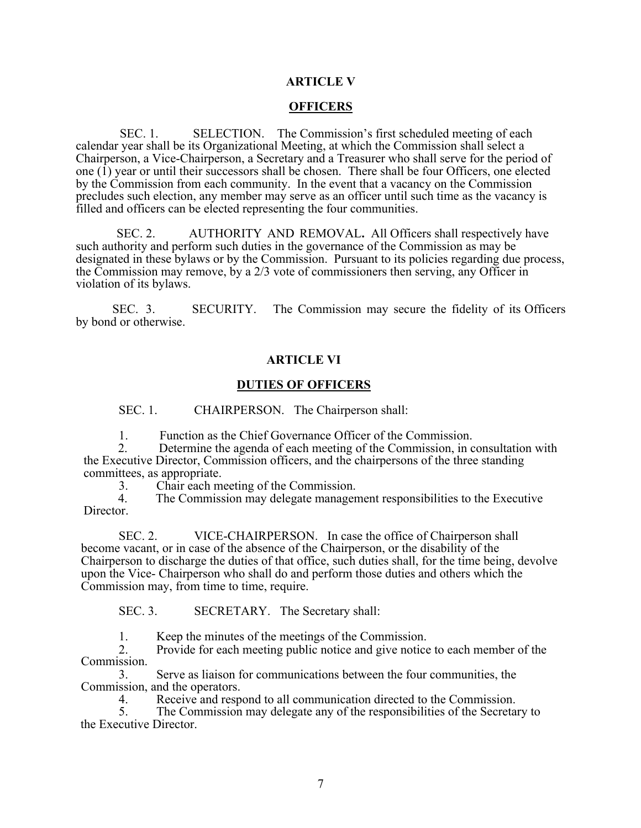#### **ARTICLE V**

#### **OFFICERS**

 SEC. 1. SELECTION. The Commission's first scheduled meeting of each calendar year shall be its Organizational Meeting, at which the Commission shall select a Chairperson, a Vice-Chairperson, a Secretary and a Treasurer who shall serve for the period of one  $(1)$  year or until their successors shall be chosen. There shall be four Officers, one elected by the Commission from each community. In the event that a vacancy on the Commission precludes such election, any member may serve as an officer until such time as the vacancy is filled and officers can be elected representing the four communities.

 SEC. 2. AUTHORITY AND REMOVAL**.** All Officers shall respectively have such authority and perform such duties in the governance of the Commission as may be designated in these bylaws or by the Commission. Pursuant to its policies regarding due process, the Commission may remove, by a 2/3 vote of commissioners then serving, any Officer in violation of its bylaws.

 SEC. 3. SECURITY. The Commission may secure the fidelity of its Officers by bond or otherwise.

#### **ARTICLE VI**

#### **DUTIES OF OFFICERS**

SEC. 1. CHAIRPERSON. The Chairperson shall:

1. Function as the Chief Governance Officer of the Commission.<br>2. Determine the agenda of each meeting of the Commission, in consultation with the Executive Director, Commission officers, and the chairpersons of the three standing committees, as appropriate.

3. Chair each meeting of the Commission.

 4. The Commission may delegate management responsibilities to the Executive Director.

SEC. 2. VICE-CHAIRPERSON. In case the office of Chairperson shall become vacant, or in case of the absence of the Chairperson, or the disability of the Chairperson to discharge the duties of that office, such duties shall, for the time being, devolve upon the Vice- Chairperson who shall do and perform those duties and others which the Commission may, from time to time, require.

SEC. 3. SECRETARY. The Secretary shall:

1. Keep the minutes of the meetings of the Commission.

2. Provide for each meeting public notice and give notice to each member of the Commission.

3. Serve as liaison for communications between the four communities, the Commission, and the operators.

4. Receive and respond to all communication directed to the Commission.<br>5. The Commission may delegate any of the responsibilities of the Secreta

The Commission may delegate any of the responsibilities of the Secretary to the Executive Director.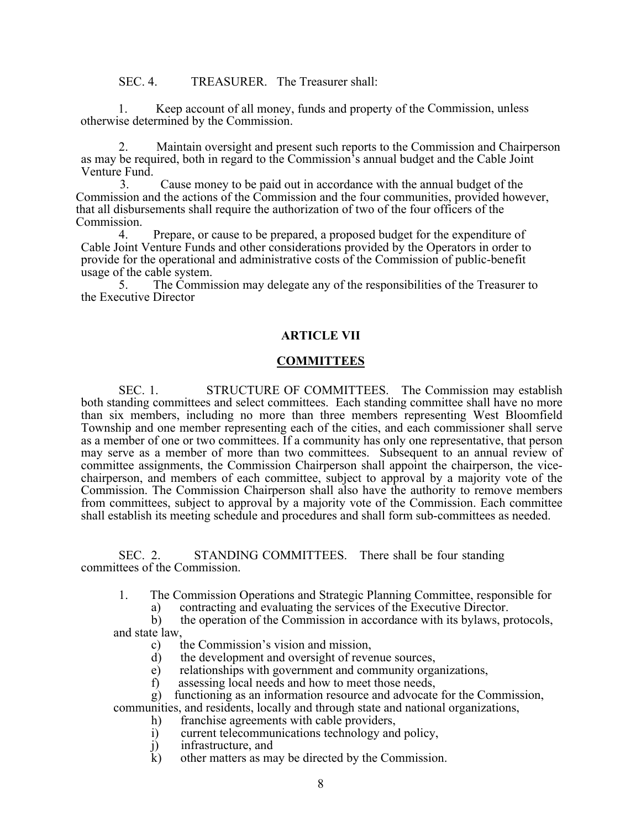SEC. 4. TREASURER. The Treasurer shall:

1. Keep account of all money, funds and property of the Commission, unless otherwise determined by the Commission.

2. Maintain oversight and present such reports to the Commission and Chairperson as may be required, both in regard to the Commission's annual budget and the Cable Joint

3. Cause money to be paid out in accordance with the annual budget of the Commission and the actions of the Commission and the four communities, provided however, that all disbursements shall require the authorization of two of the four officers of the Commission.

4. Prepare, or cause to be prepared, a proposed budget for the expenditure of Cable Joint Venture Funds and other considerations provided by the Operators in order to provide for the operational and administrative costs of the Commission of public-benefit usage of the cable system.

5. The Commission may delegate any of the responsibilities of the Treasurer to the Executive Director

#### **ARTICLE VII**

#### **COMMITTEES**

SEC. 1. STRUCTURE OF COMMITTEES. The Commission may establish both standing committees and select committees. Each standing committee shall have no more than six members, including no more than three members representing West Bloomfield Township and one member representing each of the cities, and each commissioner shall serve as a member of one or two committees. If a community has only one representative, that person may serve as a member of more than two committees. Subsequent to an annual review of committee assignments, the Commission Chairperson shall appoint the chairperson, the vicechairperson, and members of each committee, subject to approval by a majority vote of the Commission. The Commission Chairperson shall also have the authority to remove members from committees, subject to approval by a majority vote of the Commission. Each committee shall establish its meeting schedule and procedures and shall form sub-committees as needed.

SEC. 2. STANDING COMMITTEES. There shall be four standing committees of the Commission.

1. The Commission Operations and Strategic Planning Committee, responsible for

a) contracting and evaluating the services of the Executive Director.

b) the operation of the Commission in accordance with its bylaws, protocols, and state law,

- c) the Commission's vision and mission,
- d) the development and oversight of revenue sources,
- e) relationships with government and community organizations,
- f) assessing local needs and how to meet those needs,
- g) functioning as an information resource and advocate for the Commission,

communities, and residents, locally and through state and national organizations,

- h) franchise agreements with cable providers,
- i) current telecommunications technology and policy,
- j) infrastructure, and<br>k) other matters as may
- other matters as may be directed by the Commission.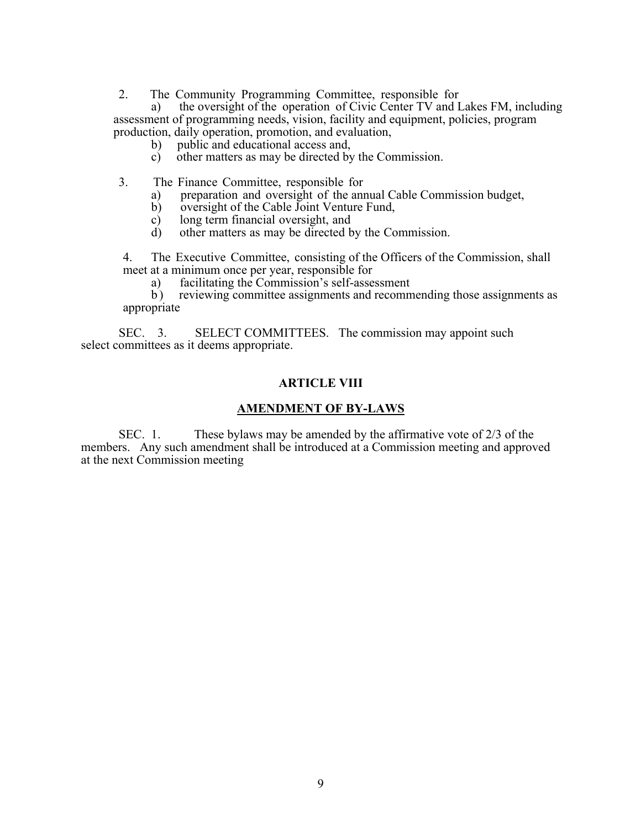2. The Community Programming Committee, responsible for

a) the oversight of the operation of Civic Center TV and Lakes FM, including assessment of programming needs, vision, facility and equipment, policies, program production, daily operation, promotion, and evaluation,

- b) public and educational access and,
- c) other matters as may be directed by the Commission.

3. The Finance Committee, responsible for

- a) preparation and oversight of the annual Cable Commission budget,
- b) oversight of the Cable Joint Venture Fund,<br>c) long term financial oversight, and
- long term financial oversight, and
- d) other matters as may be directed by the Commission.

4. The Executive Committee, consisting of the Officers of the Commission, shall meet at a minimum once per year, responsible for

a) facilitating the Commission's self-assessment<br>b) reviewing committee assignments and recomm

reviewing committee assignments and recommending those assignments as appropriate

SEC. 3. SELECT COMMITTEES. The commission may appoint such select committees as it deems appropriate.

#### **ARTICLE VIII**

#### **AMENDMENT OF BY-LAWS**

SEC. 1. These bylaws may be amended by the affirmative vote of 2/3 of the members. Any such amendment shall be introduced at a Commission meeting and approved at the next Commission meeting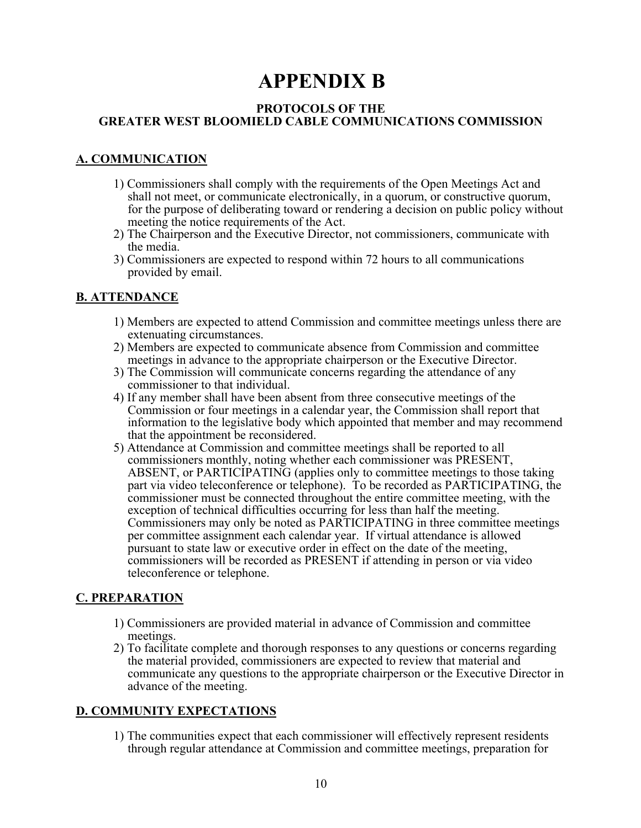## **APPENDIX B**

#### **PROTOCOLS OF THE GREATER WEST BLOOMIELD CABLE COMMUNICATIONS COMMISSION**

#### **A. COMMUNICATION**

- 1) Commissioners shall comply with the requirements of the Open Meetings Act and shall not meet, or communicate electronically, in a quorum, or constructive quorum, for the purpose of deliberating toward or rendering a decision on public policy without meeting the notice requirements of the Act.
- 2) The Chairperson and the Executive Director, not commissioners, communicate with the media.
- 3) Commissioners are expected to respond within 72 hours to all communications provided by email.

#### **B. ATTENDANCE**

- 1) Members are expected to attend Commission and committee meetings unless there are extenuating circumstances.
- 2) Members are expected to communicate absence from Commission and committee meetings in advance to the appropriate chairperson or the Executive Director.
- 3) The Commission will communicate concerns regarding the attendance of any commissioner to that individual.
- 4) If any member shall have been absent from three consecutive meetings of the Commission or four meetings in a calendar year, the Commission shall report that information to the legislative body which appointed that member and may recommend that the appointment be reconsidered.
- 5) Attendance at Commission and committee meetings shall be reported to all commissioners monthly, noting whether each commissioner was PRESENT, ABSENT, or PARTICIPATING (applies only to committee meetings to those taking part via video teleconference or telephone). To be recorded as PARTICIPATING, the commissioner must be connected throughout the entire committee meeting, with the exception of technical difficulties occurring for less than half the meeting. Commissioners may only be noted as PARTICIPATING in three committee meetings per committee assignment each calendar year. If virtual attendance is allowed pursuant to state law or executive order in effect on the date of the meeting, commissioners will be recorded as PRESENT if attending in person or via video teleconference or telephone.

#### **C. PREPARATION**

- 1) Commissioners are provided material in advance of Commission and committee meetings.
- 2) To facilitate complete and thorough responses to any questions or concerns regarding the material provided, commissioners are expected to review that material and communicate any questions to the appropriate chairperson or the Executive Director in advance of the meeting.

#### **D. COMMUNITY EXPECTATIONS**

1) The communities expect that each commissioner will effectively represent residents through regular attendance at Commission and committee meetings, preparation for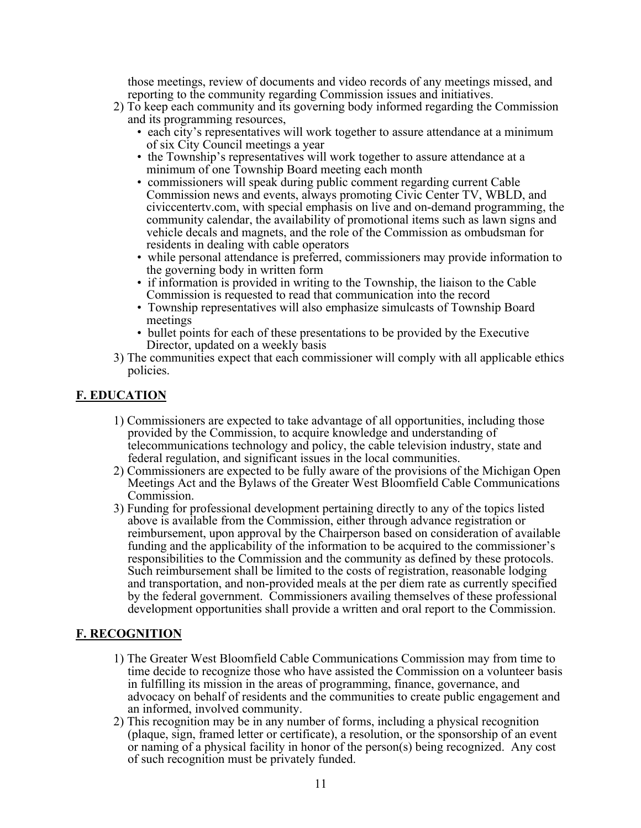those meetings, review of documents and video records of any meetings missed, and reporting to the community regarding Commission issues and initiatives.

- 2) To keep each community and its governing body informed regarding the Commission and its programming resources,
	- each city's representatives will work together to assure attendance at a minimum of six City Council meetings a year
	- the Township's representatives will work together to assure attendance at a minimum of one Township Board meeting each month
	- commissioners will speak during public comment regarding current Cable Commission news and events, always promoting Civic Center TV, WBLD, and civiccentertv.com, with special emphasis on live and on-demand programming, the community calendar, the availability of promotional items such as lawn signs and vehicle decals and magnets, and the role of the Commission as ombudsman for residents in dealing with cable operators
	- while personal attendance is preferred, commissioners may provide information to the governing body in written form
	- if information is provided in writing to the Township, the liaison to the Cable Commission is requested to read that communication into the record
	- Township representatives will also emphasize simulcasts of Township Board meetings
	- bullet points for each of these presentations to be provided by the Executive Director, updated on a weekly basis
- 3) The communities expect that each commissioner will comply with all applicable ethics policies.

#### **F. EDUCATION**

- 1) Commissioners are expected to take advantage of all opportunities, including those provided by the Commission, to acquire knowledge and understanding of telecommunications technology and policy, the cable television industry, state and federal regulation, and significant issues in the local communities.
- 2) Commissioners are expected to be fully aware of the provisions of the Michigan Open Meetings Act and the Bylaws of the Greater West Bloomfield Cable Communications Commission.
- 3) Funding for professional development pertaining directly to any of the topics listed above is available from the Commission, either through advance registration or reimbursement, upon approval by the Chairperson based on consideration of available funding and the applicability of the information to be acquired to the commissioner's responsibilities to the Commission and the community as defined by these protocols. Such reimbursement shall be limited to the costs of registration, reasonable lodging and transportation, and non-provided meals at the per diem rate as currently specified by the federal government. Commissioners availing themselves of these professional development opportunities shall provide a written and oral report to the Commission.

#### **F. RECOGNITION**

- 1) The Greater West Bloomfield Cable Communications Commission may from time to time decide to recognize those who have assisted the Commission on a volunteer basis in fulfilling its mission in the areas of programming, finance, governance, and advocacy on behalf of residents and the communities to create public engagement and an informed, involved community.
- 2) This recognition may be in any number of forms, including a physical recognition (plaque, sign, framed letter or certificate), a resolution, or the sponsorship of an event or naming of a physical facility in honor of the person(s) being recognized. Any cost of such recognition must be privately funded.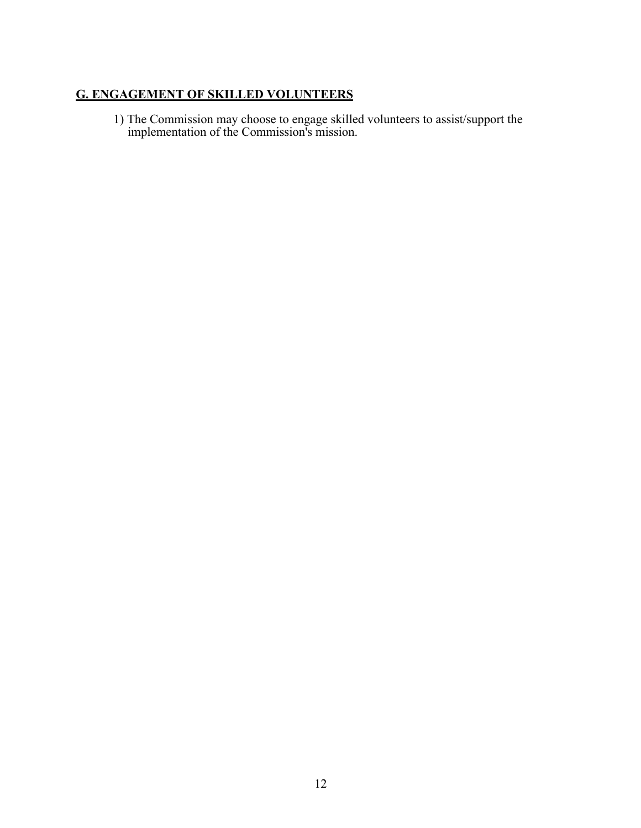### **G. ENGAGEMENT OF SKILLED VOLUNTEERS**

1) The Commission may choose to engage skilled volunteers to assist/support the implementation of the Commission's mission.